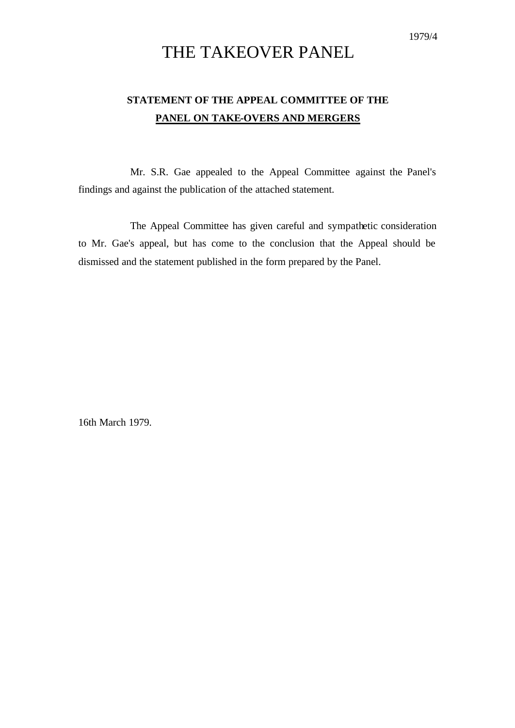## THE TAKEOVER PANEL

## **STATEMENT OF THE APPEAL COMMITTEE OF THE PANEL ON TAKE-OVERS AND MERGERS**

Mr. S.R. Gae appealed to the Appeal Committee against the Panel's findings and against the publication of the attached statement.

The Appeal Committee has given careful and sympathetic consideration to Mr. Gae's appeal, but has come to the conclusion that the Appeal should be dismissed and the statement published in the form prepared by the Panel.

16th March 1979.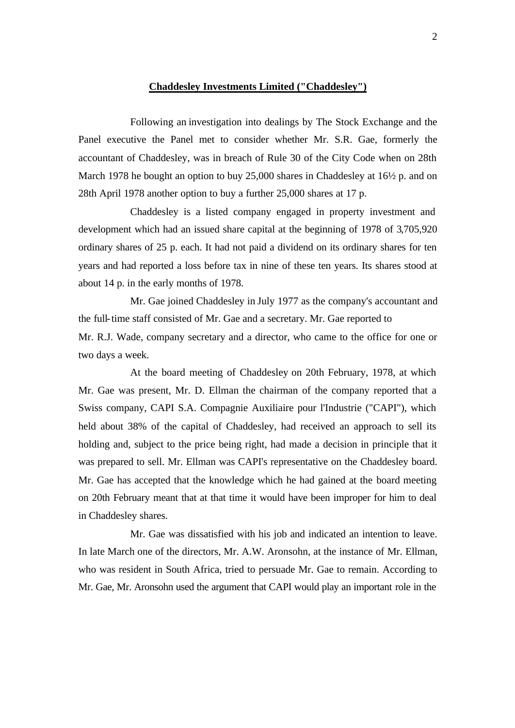## **Chaddesley Investments Limited ("Chaddesley")**

Following an investigation into dealings by The Stock Exchange and the Panel executive the Panel met to consider whether Mr. S.R. Gae, formerly the accountant of Chaddesley, was in breach of Rule 30 of the City Code when on 28th March 1978 he bought an option to buy 25,000 shares in Chaddesley at 16<sup>1/2</sup> p. and on 28th April 1978 another option to buy a further 25,000 shares at 17 p.

Chaddesley is a listed company engaged in property investment and development which had an issued share capital at the beginning of 1978 of 3,705,920 ordinary shares of 25 p. each. It had not paid a dividend on its ordinary shares for ten years and had reported a loss before tax in nine of these ten years. Its shares stood at about 14 p. in the early months of 1978.

Mr. Gae joined Chaddesley in July 1977 as the company's accountant and the full-time staff consisted of Mr. Gae and a secretary. Mr. Gae reported to Mr. R.J. Wade, company secretary and a director, who came to the office for one or two days a week.

At the board meeting of Chaddesley on 20th February, 1978, at which Mr. Gae was present, Mr. D. Ellman the chairman of the company reported that a Swiss company, CAPI S.A. Compagnie Auxiliaire pour l'Industrie ("CAPI"), which held about 38% of the capital of Chaddesley, had received an approach to sell its holding and, subject to the price being right, had made a decision in principle that it was prepared to sell. Mr. Ellman was CAPI's representative on the Chaddesley board. Mr. Gae has accepted that the knowledge which he had gained at the board meeting on 20th February meant that at that time it would have been improper for him to deal in Chaddesley shares.

Mr. Gae was dissatisfied with his job and indicated an intention to leave. In late March one of the directors, Mr. A.W. Aronsohn, at the instance of Mr. Ellman, who was resident in South Africa, tried to persuade Mr. Gae to remain. According to Mr. Gae, Mr. Aronsohn used the argument that CAPI would play an important role in the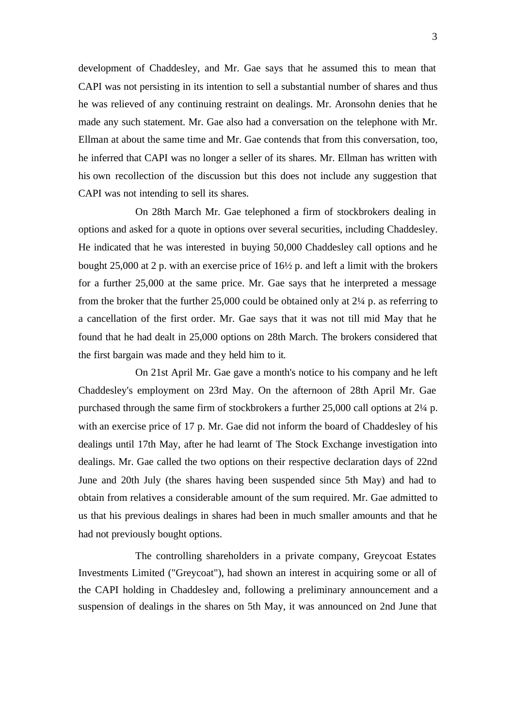development of Chaddesley, and Mr. Gae says that he assumed this to mean that CAPI was not persisting in its intention to sell a substantial number of shares and thus he was relieved of any continuing restraint on dealings. Mr. Aronsohn denies that he made any such statement. Mr. Gae also had a conversation on the telephone with Mr. Ellman at about the same time and Mr. Gae contends that from this conversation, too, he inferred that CAPI was no longer a seller of its shares. Mr. Ellman has written with his own recollection of the discussion but this does not include any suggestion that CAPI was not intending to sell its shares.

On 28th March Mr. Gae telephoned a firm of stockbrokers dealing in options and asked for a quote in options over several securities, including Chaddesley. He indicated that he was interested in buying 50,000 Chaddesley call options and he bought 25,000 at 2 p. with an exercise price of 16½ p. and left a limit with the brokers for a further 25,000 at the same price. Mr. Gae says that he interpreted a message from the broker that the further 25,000 could be obtained only at 2¼ p. as referring to a cancellation of the first order. Mr. Gae says that it was not till mid May that he found that he had dealt in 25,000 options on 28th March. The brokers considered that the first bargain was made and they held him to it.

On 21st April Mr. Gae gave a month's notice to his company and he left Chaddesley's employment on 23rd May. On the afternoon of 28th April Mr. Gae purchased through the same firm of stockbrokers a further 25,000 call options at 2¼ p. with an exercise price of 17 p. Mr. Gae did not inform the board of Chaddesley of his dealings until 17th May, after he had learnt of The Stock Exchange investigation into dealings. Mr. Gae called the two options on their respective declaration days of 22nd June and 20th July (the shares having been suspended since 5th May) and had to obtain from relatives a considerable amount of the sum required. Mr. Gae admitted to us that his previous dealings in shares had been in much smaller amounts and that he had not previously bought options.

The controlling shareholders in a private company, Greycoat Estates Investments Limited ("Greycoat"), had shown an interest in acquiring some or all of the CAPI holding in Chaddesley and, following a preliminary announcement and a suspension of dealings in the shares on 5th May, it was announced on 2nd June that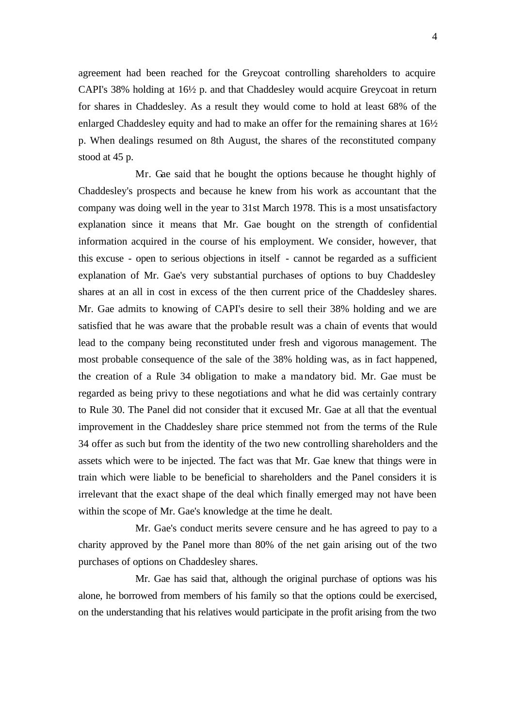agreement had been reached for the Greycoat controlling shareholders to acquire CAPI's 38% holding at 16½ p. and that Chaddesley would acquire Greycoat in return for shares in Chaddesley. As a result they would come to hold at least 68% of the enlarged Chaddesley equity and had to make an offer for the remaining shares at  $16\frac{1}{2}$ p. When dealings resumed on 8th August, the shares of the reconstituted company stood at 45 p.

Mr. Gae said that he bought the options because he thought highly of Chaddesley's prospects and because he knew from his work as accountant that the company was doing well in the year to 31st March 1978. This is a most unsatisfactory explanation since it means that Mr. Gae bought on the strength of confidential information acquired in the course of his employment. We consider, however, that this excuse - open to serious objections in itself - cannot be regarded as a sufficient explanation of Mr. Gae's very substantial purchases of options to buy Chaddesley shares at an all in cost in excess of the then current price of the Chaddesley shares. Mr. Gae admits to knowing of CAPI's desire to sell their 38% holding and we are satisfied that he was aware that the probable result was a chain of events that would lead to the company being reconstituted under fresh and vigorous management. The most probable consequence of the sale of the 38% holding was, as in fact happened, the creation of a Rule 34 obligation to make a mandatory bid. Mr. Gae must be regarded as being privy to these negotiations and what he did was certainly contrary to Rule 30. The Panel did not consider that it excused Mr. Gae at all that the eventual improvement in the Chaddesley share price stemmed not from the terms of the Rule 34 offer as such but from the identity of the two new controlling shareholders and the assets which were to be injected. The fact was that Mr. Gae knew that things were in train which were liable to be beneficial to shareholders and the Panel considers it is irrelevant that the exact shape of the deal which finally emerged may not have been within the scope of Mr. Gae's knowledge at the time he dealt.

Mr. Gae's conduct merits severe censure and he has agreed to pay to a charity approved by the Panel more than 80% of the net gain arising out of the two purchases of options on Chaddesley shares.

Mr. Gae has said that, although the original purchase of options was his alone, he borrowed from members of his family so that the options could be exercised, on the understanding that his relatives would participate in the profit arising from the two